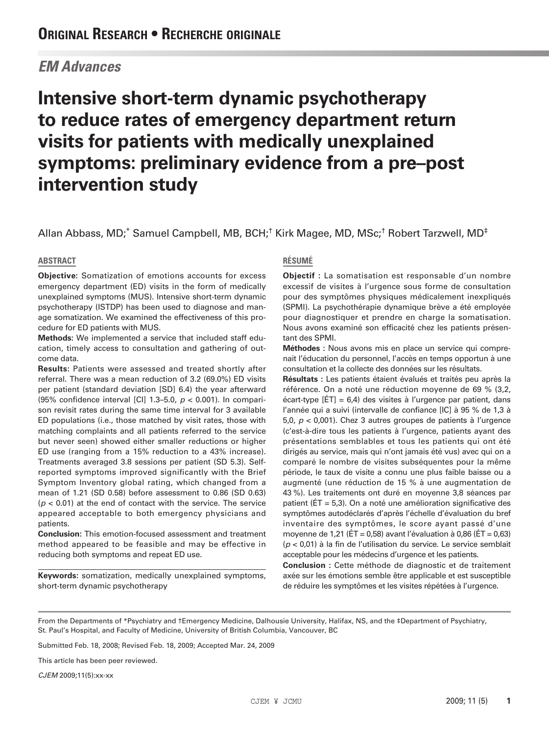## *EM Advances*

# **Intensive short-term dynamic psychotherapy to reduce rates of emergency department return visits for patients with medically unexplained symptoms: preliminary evidence from a pre–post intervention study**

Allan Abbass, MD; $^*$  Samuel Campbell, MB, BCH; $^\dagger$  Kirk Magee, MD, MSc; $^\dagger$  Robert Tarzwell, MD $^\ddagger$ 

## **ABSTRACT**

**Objective:** Somatization of emotions accounts for excess emergency department (ED) visits in the form of medically unexplained symptoms (MUS). Intensive short-term dynamic psychotherapy (ISTDP) has been used to diagnose and manage somatization. We examined the effectiveness of this procedure for ED patients with MUS.

**Methods:** We implemented a service that included staff education, timely access to consultation and gathering of outcome data.

**Results:** Patients were assessed and treated shortly after referral. There was a mean reduction of 3.2 (69.0%) ED visits per patient (standard deviation [SD] 6.4) the year afterward (95% confidence interval [CI] 1.3–5.0, *p* < 0.001). In comparison revisit rates during the same time interval for 3 available ED populations (i.e., those matched by visit rates, those with matching complaints and all patients referred to the service but never seen) showed either smaller reductions or higher ED use (ranging from a 15% reduction to a 43% increase). Treatments averaged 3.8 sessions per patient (SD 5.3). Selfreported symptoms improved significantly with the Brief Symptom Inventory global rating, which changed from a mean of 1.21 (SD 0.58) before assessment to 0.86 (SD 0.63)  $(p < 0.01)$  at the end of contact with the service. The service appeared acceptable to both emergency physicians and patients.

**Conclusion:** This emotion-focused assessment and treatment method appeared to be feasible and may be effective in reducing both symptoms and repeat ED use.

**Keywords:** somatization, medically unexplained symptoms, short-term dynamic psychotherapy

## **RÉSUMÉ**

**Objectif :** La somatisation est responsable d'un nombre excessif de visites à l'urgence sous forme de consultation pour des symptômes physiques médicalement inexpliqués (SPMI). La psychothérapie dynamique brève a été employée pour diagnostiquer et prendre en charge la somatisation. Nous avons examiné son efficacité chez les patients présentant des SPMI.

**Méthodes :** Nous avons mis en place un service qui comprenait l'éducation du personnel, l'accès en temps opportun à une consultation et la collecte des données sur les résultats.

**Résultats :** Les patients étaient évalués et traités peu après la référence. On a noté une réduction moyenne de 69 % (3,2, écart-type [ÉT] = 6,4) des visites à l'urgence par patient, dans l'année qui a suivi (intervalle de confiance [IC] à 95 % de 1,3 à 5,0, *p* < 0,001). Chez 3 autres groupes de patients à l'urgence (c'est-à-dire tous les patients à l'urgence, patients ayant des présentations semblables et tous les patients qui ont été dirigés au service, mais qui n'ont jamais été vus) avec qui on a comparé le nombre de visites subséquentes pour la même période, le taux de visite a connu une plus faible baisse ou a augmenté (une réduction de 15 % à une augmentation de 43 %). Les traitements ont duré en moyenne 3,8 séances par patient (ÉT = 5,3). On a noté une amélioration significative des symptômes autodéclarés d'après l'échelle d'évaluation du bref inventaire des symptômes, le score ayant passé d'une moyenne de 1,21 (ET = 0,58) avant l'évaluation à 0,86 (ET = 0,63) (*p* < 0,01) à la fin de l'utilisation du service. Le service semblait acceptable pour les médecins d'urgence et les patients.

**Conclusion :** Cette méthode de diagnostic et de traitement axée sur les émotions semble être applicable et est susceptible de réduire les symptômes et les visites répétées à l'urgence.

This article has been peer reviewed.

*CJEM* 2009;11(5):xx-xx

From the Departments of \*Psychiatry and †Emergency Medicine, Dalhousie University, Halifax, NS, and the ‡Department of Psychiatry, St. Paul's Hospital, and Faculty of Medicine, University of British Columbia, Vancouver, BC

Submitted Feb. 18, 2008; Revised Feb. 18, 2009; Accepted Mar. 24, 2009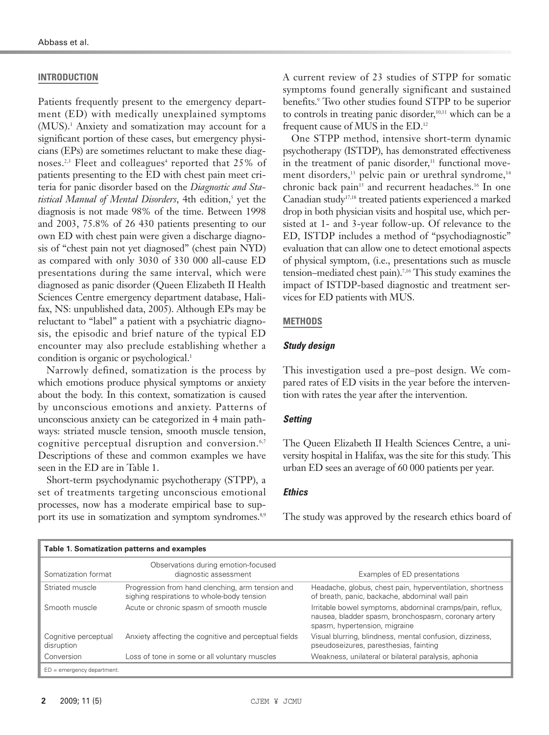## **INTRODUCTION**

Patients frequently present to the emergency department (ED) with medically unexplained symptoms (MUS). <sup>1</sup> Anxiety and somatization may account for a significant portion of these cases, but emergency physicians (EPs) are sometimes reluctant to make these diagnoses.<sup>2,3</sup> Fleet and colleagues<sup>4</sup> reported that 25% of patients presenting to the ED with chest pain meet criteria for panic disorder based on the *Diagnostic and Statistical Manual of Mental Disorders*, 4th edition, <sup>5</sup> yet the diagnosis is not made 98% of the time. Between 1998 and 2003, 75.8% of 26 430 patients presenting to our own ED with chest pain were given a discharge diagnosis of "chest pain not yet diagnosed" (chest pain NYD) as compared with only 3030 of 330 000 all-cause ED presentations during the same interval, which were diagnosed as panic disorder (Queen Elizabeth II Health Sciences Centre emergency department database, Halifax, NS: unpublished data, 2005). Although EPs may be reluctant to "label" a patient with a psychiatric diagnosis, the episodic and brief nature of the typical ED encounter may also preclude establishing whether a condition is organic or psychological. 1

Narrowly defined, somatization is the process by which emotions produce physical symptoms or anxiety about the body. In this context, somatization is caused by unconscious emotions and anxiety. Patterns of unconscious anxiety can be categorized in 4 main pathways: striated muscle tension, smooth muscle tension, cognitive perceptual disruption and conversion. 6,7 Descriptions of these and common examples we have seen in the ED are in Table 1.

Short-term psychodynamic psychotherapy (STPP), a set of treatments targeting unconscious emotional processes, now has a moderate empirical base to support its use in somatization and symptom syndromes.<sup>8,9</sup>

A current review of 23 studies of STPP for somatic symptoms found generally significant and sustained benefits. <sup>9</sup> Two other studies found STPP to be superior to controls in treating panic disorder,<sup>10,11</sup> which can be a frequent cause of MUS in the ED. 12

One STPP method, intensive short-term dynamic psychotherapy (ISTDP), has demonstrated effectiveness in the treatment of panic disorder, <sup>11</sup> functional movement disorders, <sup>13</sup> pelvic pain or urethral syndrome, 14 chronic back pain15 and recurrent headaches. <sup>16</sup> In one Canadian study17,18 treated patients experienced a marked drop in both physician visits and hospital use, which persisted at 1- and 3-year follow-up. Of relevance to the ED, ISTDP includes a method of "psychodiagnostic" evaluation that can allow one to detect emotional aspects of physical symptom, (i.e., presentations such as muscle tension–mediated chest pain). 7,16 This study examines the impact of ISTDP-based diagnostic and treatment services for ED patients with MUS.

## **METHODS**

## *Study design*

This investigation used a pre–post design. We compared rates of ED visits in the year before the intervention with rates the year after the intervention.

## *Setting*

The Queen Elizabeth II Health Sciences Centre, a university hospital in Halifax, was the site for this study. This urban ED sees an average of 60 000 patients per year.

#### *Ethics*

The study was approved by the research ethics board of

| Table 1. Somatization patterns and examples |                                                                                                |                                                                                                                                                   |  |  |
|---------------------------------------------|------------------------------------------------------------------------------------------------|---------------------------------------------------------------------------------------------------------------------------------------------------|--|--|
| Somatization format                         | Observations during emotion-focused<br>diagnostic assessment                                   | Examples of ED presentations                                                                                                                      |  |  |
| Striated muscle                             | Progression from hand clenching, arm tension and<br>sighing respirations to whole-body tension | Headache, globus, chest pain, hyperventilation, shortness<br>of breath, panic, backache, abdominal wall pain                                      |  |  |
| Smooth muscle                               | Acute or chronic spasm of smooth muscle                                                        | Irritable bowel symptoms, abdominal cramps/pain, reflux,<br>nausea, bladder spasm, bronchospasm, coronary artery<br>spasm, hypertension, migraine |  |  |
| Cognitive perceptual<br>disruption          | Anxiety affecting the cognitive and perceptual fields                                          | Visual blurring, blindness, mental confusion, dizziness,<br>pseudoseizures, paresthesias, fainting                                                |  |  |
| Conversion                                  | Loss of tone in some or all voluntary muscles                                                  | Weakness, unilateral or bilateral paralysis, aphonia                                                                                              |  |  |
| $ED = emergency department$ .               |                                                                                                |                                                                                                                                                   |  |  |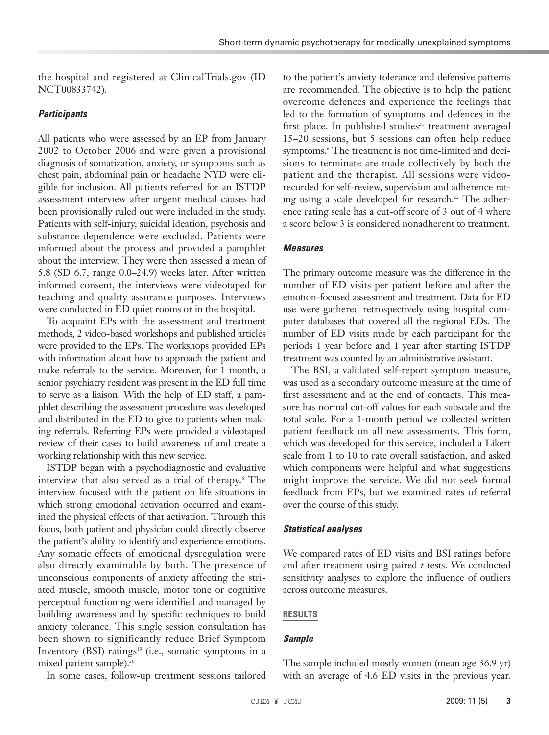the hospital and registered at ClinicalTrials.gov (ID NCT00833742).

## *Participants*

All patients who were assessed by an EP from January 2002 to October 2006 and were given a provisional diagnosis of somatization, anxiety, or symptoms such as chest pain, abdominal pain or headache NYD were eligible for inclusion. All patients referred for an ISTDP assessment interview after urgent medical causes had been provisionally ruled out were included in the study. Patients with self-injury, suicidal ideation, psychosis and substance dependence were excluded. Patients were informed about the process and provided a pamphlet about the interview. They were then assessed a mean of 5.8 (SD 6.7, range 0.0–24.9) weeks later. After written informed consent, the interviews were videotaped for teaching and quality assurance purposes. Interviews were conducted in ED quiet rooms or in the hospital.

To acquaint EPs with the assessment and treatment methods, 2 video-based workshops and published articles were provided to the EPs. The workshops provided EPs with information about how to approach the patient and make referrals to the service. Moreover, for 1 month, a senior psychiatry resident was present in the ED full time to serve as a liaison. With the help of ED staff, a pamphlet describing the assessment procedure was developed and distributed in the ED to give to patients when making referrals. Referring EPs were provided a videotaped review of their cases to build awareness of and create a working relationship with this new service.

ISTDP began with a psychodiagnostic and evaluative interview that also served as a trial of therapy. <sup>6</sup> The interview focused with the patient on life situations in which strong emotional activation occurred and examined the physical effects of that activation. Through this focus, both patient and physician could directly observe the patient's ability to identify and experience emotions. Any somatic effects of emotional dysregulation were also directly examinable by both. The presence of unconscious components of anxiety affecting the striated muscle, smooth muscle, motor tone or cognitive perceptual functioning were identified and managed by building awareness and by specific techniques to build anxiety tolerance. This single session consultation has been shown to significantly reduce Brief Symptom Inventory (BSI) ratings<sup>19</sup> (i.e., somatic symptoms in a mixed patient sample). 20

In some cases, follow-up treatment sessions tailored

to the patient's anxiety tolerance and defensive patterns are recommended. The objective is to help the patient overcome defences and experience the feelings that led to the formation of symptoms and defences in the first place. In published studies<sup>21</sup> treatment averaged 15–20 sessions, but 5 sessions can often help reduce symptoms. <sup>6</sup> The treatment is not time-limited and decisions to terminate are made collectively by both the patient and the therapist. All sessions were videorecorded for self-review, supervision and adherence rating using a scale developed for research. <sup>22</sup> The adherence rating scale has a cut-off score of 3 out of 4 where a score below 3 is considered nonadherent to treatment.

## *Measures*

The primary outcome measure was the difference in the number of ED visits per patient before and after the emotion-focused assessment and treatment. Data for ED use were gathered retrospectively using hospital computer databases that covered all the regional EDs. The number of ED visits made by each participant for the periods 1 year before and 1 year after starting ISTDP treatment was counted by an administrative assistant.

The BSI, a validated self-report symptom measure, was used as a secondary outcome measure at the time of first assessment and at the end of contacts. This measure has normal cut-off values for each subscale and the total scale. For a 1-month period we collected written patient feedback on all new assessments. This form, which was developed for this service, included a Likert scale from 1 to 10 to rate overall satisfaction, and asked which components were helpful and what suggestions might improve the service. We did not seek formal feedback from EPs, but we examined rates of referral over the course of this study.

## *Statistical analyses*

We compared rates of ED visits and BSI ratings before and after treatment using paired *t* tests. We conducted sensitivity analyses to explore the influence of outliers across outcome measures.

## **RESULTS**

## *Sample*

The sample included mostly women (mean age 36.9 yr) with an average of 4.6 ED visits in the previous year.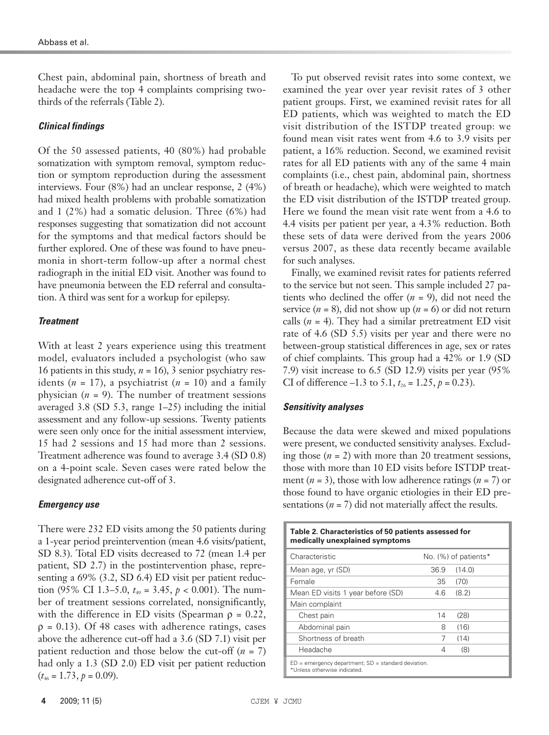Chest pain, abdominal pain, shortness of breath and headache were the top 4 complaints comprising twothirds of the referrals (Table 2).

## *Clinical findings*

Of the 50 assessed patients, 40 (80%) had probable somatization with symptom removal, symptom reduction or symptom reproduction during the assessment interviews. Four (8%) had an unclear response, 2 (4%) had mixed health problems with probable somatization and 1 (2%) had a somatic delusion. Three (6%) had responses suggesting that somatization did not account for the symptoms and that medical factors should be further explored. One of these was found to have pneumonia in short-term follow-up after a normal chest radiograph in the initial ED visit. Another was found to have pneumonia between the ED referral and consultation. A third was sent for a workup for epilepsy.

## *Treatment*

With at least 2 years experience using this treatment model, evaluators included a psychologist (who saw 16 patients in this study, *n* = 16), 3 senior psychiatry residents  $(n = 17)$ , a psychiatrist  $(n = 10)$  and a family physician (*n* = 9). The number of treatment sessions averaged 3.8 (SD 5.3, range 1–25) including the initial assessment and any follow-up sessions. Twenty patients were seen only once for the initial assessment interview, 15 had 2 sessions and 15 had more than 2 sessions. Treatment adherence was found to average 3.4 (SD 0.8) on a 4-point scale. Seven cases were rated below the designated adherence cut-off of 3.

#### *Emergency use*

There were 232 ED visits among the 50 patients during a 1-year period preintervention (mean 4.6 visits/patient, SD 8.3). Total ED visits decreased to 72 (mean 1.4 per patient, SD 2.7) in the postintervention phase, representing a 69% (3.2, SD 6.4) ED visit per patient reduction (95% CI 1.3–5.0,  $t_{49} = 3.45$ ,  $p < 0.001$ ). The number of treatment sessions correlated, nonsignificantly, with the difference in ED visits (Spearman  $\rho = 0.22$ ,  $p = 0.13$ . Of 48 cases with adherence ratings, cases above the adherence cut-off had a 3.6 (SD 7.1) visit per patient reduction and those below the cut-off (*n* = 7) had only a 1.3 (SD 2.0) ED visit per patient reduction  $(t_{46} = 1.73, p = 0.09).$ 

To put observed revisit rates into some context, we examined the year over year revisit rates of 3 other patient groups. First, we examined revisit rates for all ED patients, which was weighted to match the ED visit distribution of the ISTDP treated group: we found mean visit rates went from 4.6 to 3.9 visits per patient, a 16% reduction. Second, we examined revisit rates for all ED patients with any of the same 4 main complaints (i.e., chest pain, abdominal pain, shortness of breath or headache), which were weighted to match the ED visit distribution of the ISTDP treated group. Here we found the mean visit rate went from a 4.6 to 4.4 visits per patient per year, a 4.3% reduction. Both these sets of data were derived from the years 2006 versus 2007, as these data recently became available for such analyses.

Finally, we examined revisit rates for patients referred to the service but not seen. This sample included 27 patients who declined the offer  $(n = 9)$ , did not need the service  $(n = 8)$ , did not show up  $(n = 6)$  or did not return calls  $(n = 4)$ . They had a similar pretreatment ED visit rate of 4.6 (SD 5.5) visits per year and there were no between-group statistical differences in age, sex or rates of chief complaints. This group had a 42% or 1.9 (SD 7.9) visit increase to 6.5 (SD 12.9) visits per year (95% CI of difference  $-1.3$  to 5.1,  $t_{26} = 1.25$ ,  $p = 0.23$ ).

## *Sensitivity analyses*

Because the data were skewed and mixed populations were present, we conducted sensitivity analyses. Excluding those  $(n = 2)$  with more than 20 treatment sessions, those with more than 10 ED visits before ISTDP treatment (*n* = 3), those with low adherence ratings (*n* = 7) or those found to have organic etiologies in their ED presentations (*n* = 7) did not materially affect the results.

| Table 2. Characteristics of 50 patients assessed for<br>medically unexplained symptoms    |      |                      |  |  |
|-------------------------------------------------------------------------------------------|------|----------------------|--|--|
| Characteristic                                                                            |      | No. (%) of patients* |  |  |
| Mean age, yr (SD)                                                                         | 36.9 | (14.0)               |  |  |
| Female                                                                                    | 35   | (70)                 |  |  |
| Mean ED visits 1 year before (SD)                                                         | 4.6  | (8.2)                |  |  |
| Main complaint                                                                            |      |                      |  |  |
| Chest pain                                                                                | 14   | (28)                 |  |  |
| Abdominal pain                                                                            | 8    | (16)                 |  |  |
| Shortness of breath                                                                       | 7    | (14)                 |  |  |
| Headache                                                                                  | 4    | (8)                  |  |  |
| $ED = emergency department$ ; $SD = standard deviation$ .<br>*Unless otherwise indicated. |      |                      |  |  |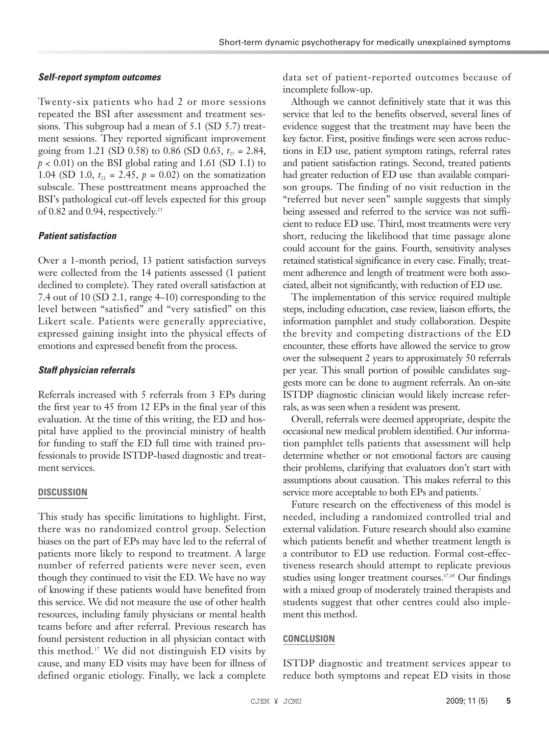## *Self-report symptom outcomes*

Twenty-six patients who had 2 or more sessions repeated the BSI after assessment and treatment sessions. This subgroup had a mean of 5.1 (SD 5.7) treatment sessions. They reported significant improvement going from 1.21 (SD 0.58) to 0.86 (SD 0.63,  $t_{25} = 2.84$ ,  $p < 0.01$ ) on the BSI global rating and 1.61 (SD 1.1) to 1.04 (SD 1.0,  $t_{21} = 2.45$ ,  $p = 0.02$ ) on the somatization subscale. These posttreatment means approached the BSI's pathological cut-off levels expected for this group of 0.82 and 0.94, respectively. 23

## *Patient satisfaction*

Over a 1-month period, 13 patient satisfaction surveys were collected from the 14 patients assessed (1 patient declined to complete). They rated overall satisfaction at 7.4 out of 10 (SD 2.1, range 4–10) corresponding to the level between "satisfied" and "very satisfied" on this Likert scale. Patients were generally appreciative, expressed gaining insight into the physical effects of emotions and expressed benefit from the process.

## *Staff physician referrals*

Referrals increased with 5 referrals from 3 EPs during the first year to 45 from 12 EPs in the final year of this evaluation. At the time of this writing, the ED and hospital have applied to the provincial ministry of health for funding to staff the ED full time with trained professionals to provide ISTDP-based diagnostic and treatment services.

## **DISCUSSION**

This study has specific limitations to highlight. First, there was no randomized control group. Selection biases on the part of EPs may have led to the referral of patients more likely to respond to treatment. A large number of referred patients were never seen, even though they continued to visit the ED. We have no way of knowing if these patients would have benefited from this service. We did not measure the use of other health resources, including family physicians or mental health teams before and after referral. Previous research has found persistent reduction in all physician contact with this method. <sup>17</sup> We did not distinguish ED visits by cause, and many ED visits may have been for illness of defined organic etiology. Finally, we lack a complete

data set of patient-reported outcomes because of incomplete follow-up.

Although we cannot definitively state that it was this service that led to the benefits observed, several lines of evidence suggest that the treatment may have been the key factor. First, positive findings were seen across reductions in ED use, patient symptom ratings, referral rates and patient satisfaction ratings. Second, treated patients had greater reduction of ED use than available comparison groups. The finding of no visit reduction in the "referred but never seen" sample suggests that simply being assessed and referred to the service was not sufficient to reduce ED use. Third, most treatments were very short, reducing the likelihood that time passage alone could account for the gains. Fourth, sensitivity analyses retained statistical significance in every case. Finally, treatment adherence and length of treatment were both associated, albeit not significantly, with reduction of ED use.

The implementation of this service required multiple steps, including education, case review, liaison efforts, the information pamphlet and study collaboration. Despite the brevity and competing distractions of the ED encounter, these efforts have allowed the service to grow over the subsequent 2 years to approximately 50 referrals per year. This small portion of possible candidates suggests more can be done to augment referrals. An on-site ISTDP diagnostic clinician would likely increase referrals, as was seen when a resident was present.

Overall, referrals were deemed appropriate, despite the occasional new medical problem identified. Our information pamphlet tells patients that assessment will help determine whether or not emotional factors are causing their problems, clarifying that evaluators don't start with assumptions about causation. This makes referral to this service more acceptable to both EPs and patients. 7

Future research on the effectiveness of this model is needed, including a randomized controlled trial and external validation. Future research should also examine which patients benefit and whether treatment length is a contributor to ED use reduction. Formal cost-effectiveness research should attempt to replicate previous studies using longer treatment courses. 17,18 Our findings with a mixed group of moderately trained therapists and students suggest that other centres could also implement this method.

## **CONCLUSION**

ISTDP diagnostic and treatment services appear to reduce both symptoms and repeat ED visits in those